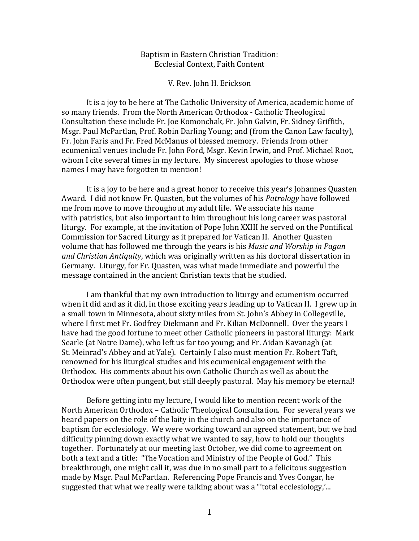# Baptism in Eastern Christian Tradition: Ecclesial Context, Faith Content

V. Rev. John H. Erickson

It is a joy to be here at The Catholic University of America, academic home of so many friends. From the North American Orthodox - Catholic Theological Consultation these include Fr. Joe Komonchak, Fr. John Galvin, Fr. Sidney Griffith, Msgr. Paul McPartlan, Prof. Robin Darling Young; and (from the Canon Law faculty), Fr. John Faris and Fr. Fred McManus of blessed memory. Friends from other ecumenical venues include Fr. John Ford, Msgr. Kevin Irwin, and Prof. Michael Root, whom I cite several times in my lecture. My sincerest apologies to those whose names I may have forgotten to mention!

It is a joy to be here and a great honor to receive this year's Johannes Quasten Award. I did not know Fr. Quasten, but the volumes of his *Patrology* have followed me from move to move throughout my adult life. We associate his name with patristics, but also important to him throughout his long career was pastoral liturgy. For example, at the invitation of Pope John XXIII he served on the Pontifical Commission for Sacred Liturgy as it prepared for Vatican II. Another Quasten volume that has followed me through the years is his *Music and Worship in Pagan* and Christian Antiquity, which was originally written as his doctoral dissertation in Germany. Liturgy, for Fr. Quasten, was what made immediate and powerful the message contained in the ancient Christian texts that he studied.

I am thankful that my own introduction to liturgy and ecumenism occurred when it did and as it did, in those exciting years leading up to Vatican II. I grew up in a small town in Minnesota, about sixty miles from St. John's Abbey in Collegeville, where I first met Fr. Godfrey Diekmann and Fr. Kilian McDonnell. Over the years I have had the good fortune to meet other Catholic pioneers in pastoral liturgy: Mark Searle (at Notre Dame), who left us far too young; and Fr. Aidan Kavanagh (at St. Meinrad's Abbey and at Yale). Certainly I also must mention Fr. Robert Taft, renowned for his liturgical studies and his ecumenical engagement with the Orthodox. His comments about his own Catholic Church as well as about the Orthodox were often pungent, but still deeply pastoral. May his memory be eternal!

Before getting into my lecture, I would like to mention recent work of the North American Orthodox – Catholic Theological Consultation. For several years we heard papers on the role of the laity in the church and also on the importance of baptism for ecclesiology. We were working toward an agreed statement, but we had difficulty pinning down exactly what we wanted to say, how to hold our thoughts together. Fortunately at our meeting last October, we did come to agreement on both a text and a title: "The Vocation and Ministry of the People of God." This breakthrough, one might call it, was due in no small part to a felicitous suggestion made by Msgr. Paul McPartlan. Referencing Pope Francis and Yves Congar, he suggested that what we really were talking about was a "'total ecclesiology,'...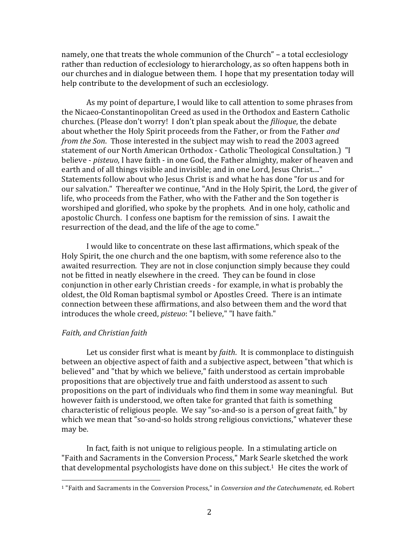namely, one that treats the whole communion of the Church" – a total ecclesiology rather than reduction of ecclesiology to hierarchology, as so often happens both in our churches and in dialogue between them. I hope that my presentation today will help contribute to the development of such an ecclesiology.

As my point of departure. I would like to call attention to some phrases from the Nicaeo-Constantinopolitan Creed as used in the Orthodox and Eastern Catholic churches. (Please don't worry! I don't plan speak about the *filioque*, the debate about whether the Holy Spirit proceeds from the Father, or from the Father *and from the Son.* Those interested in the subject may wish to read the 2003 agreed statement of our North American Orthodox - Catholic Theological Consultation.) "I believe *- pisteuo*, I have faith - in one God, the Father almighty, maker of heaven and earth and of all things visible and invisible; and in one Lord, Jesus Christ...." Statements follow about who Jesus Christ is and what he has done "for us and for our salvation." Thereafter we continue, "And in the Holy Spirit, the Lord, the giver of life, who proceeds from the Father, who with the Father and the Son together is worshiped and glorified, who spoke by the prophets. And in one holy, catholic and apostolic Church. I confess one baptism for the remission of sins. I await the resurrection of the dead, and the life of the age to come."

I would like to concentrate on these last affirmations, which speak of the Holy Spirit, the one church and the one baptism, with some reference also to the awaited resurrection. They are not in close conjunction simply because they could not be fitted in neatly elsewhere in the creed. They can be found in close conjunction in other early Christian creeds - for example, in what is probably the oldest, the Old Roman baptismal symbol or Apostles Creed. There is an intimate connection between these affirmations, and also between them and the word that introduces the whole creed, *pisteuo*: "I believe," "I have faith."

### *Faith, and Christian faith*

 

Let us consider first what is meant by *faith*. It is commonplace to distinguish between an objective aspect of faith and a subjective aspect, between "that which is believed" and "that by which we believe," faith understood as certain improbable propositions that are objectively true and faith understood as assent to such propositions on the part of individuals who find them in some way meaningful. But however faith is understood, we often take for granted that faith is something characteristic of religious people. We say "so-and-so is a person of great faith," by which we mean that "so-and-so holds strong religious convictions," whatever these may be.

In fact, faith is not unique to religious people. In a stimulating article on "Faith and Sacraments in the Conversion Process," Mark Searle sketched the work that developmental psychologists have done on this subject.<sup>1</sup> He cites the work of

<sup>&</sup>lt;sup>1</sup> "Faith and Sacraments in the Conversion Process," in *Conversion and the Catechumenate*, ed. Robert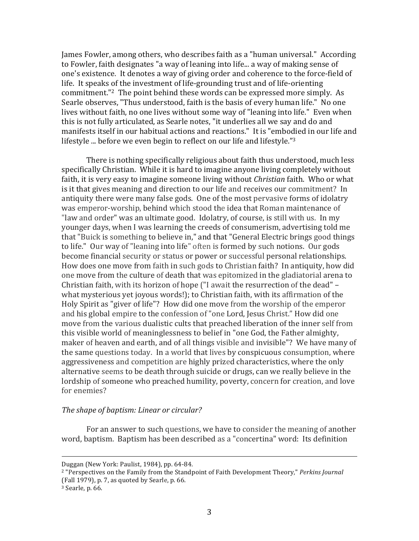James Fowler, among others, who describes faith as a "human universal." According to Fowler, faith designates "a way of leaning into life... a way of making sense of one's existence. It denotes a way of giving order and coherence to the force-field of life. It speaks of the investment of life-grounding trust and of life-orienting commitment."<sup>2</sup> The point behind these words can be expressed more simply. As Searle observes, "Thus understood, faith is the basis of every human life." No one lives without faith, no one lives without some way of "leaning into life." Even when this is not fully articulated, as Searle notes, "it underlies all we say and do and manifests itself in our habitual actions and reactions." It is "embodied in our life and lifestyle ... before we even begin to reflect on our life and lifestyle." $3$ 

There is nothing specifically religious about faith thus understood, much less specifically Christian. While it is hard to imagine anyone living completely without faith, it is very easy to imagine someone living without *Christian* faith. Who or what is it that gives meaning and direction to our life and receives our commitment? In antiquity there were many false gods. One of the most pervasive forms of idolatry was emperor-worship, behind which stood the idea that Roman maintenance of "law and order" was an ultimate good. Idolatry, of course, is still with us. In my younger days, when I was learning the creeds of consumerism, advertising told me that "Buick is something to believe in," and that "General Electric brings good things to life." Our way of "leaning into life" often is formed by such notions. Our gods become financial security or status or power or successful personal relationships. How does one move from faith in such gods to Christian faith? In antiquity, how did one move from the culture of death that was epitomized in the gladiatorial arena to Christian faith, with its horizon of hope ("I await the resurrection of the dead" what mysterious yet joyous words!); to Christian faith, with its affirmation of the Holy Spirit as "giver of life"? How did one move from the worship of the emperor and his global empire to the confession of "one Lord, Jesus Christ." How did one move from the various dualistic cults that preached liberation of the inner self from this visible world of meaninglessness to belief in "one God, the Father almighty, maker of heaven and earth, and of all things visible and invisible"? We have many of the same questions today. In a world that lives by conspicuous consumption, where aggressiveness and competition are highly prized characteristics, where the only alternative seems to be death through suicide or drugs, can we really believe in the lordship of someone who preached humility, poverty, concern for creation, and love for enemies?

# *The shape of baptism: Linear or circular?*

For an answer to such questions, we have to consider the meaning of another word, baptism. Baptism has been described as a "concertina" word: Its definition

<u> 2002 - Andrea San Andrea San Andrea San Andrea San Andrea San Andrea San Andrea San Andrea San Andrea San An</u>

Duggan (New York: Paulist, 1984), pp. 64-84.

<sup>&</sup>lt;sup>2</sup> "Perspectives on the Family from the Standpoint of Faith Development Theory," *Perkins Journal* (Fall  $1979$ ), p. 7, as quoted by Searle, p. 66.

 $3$  Searle, p. 66.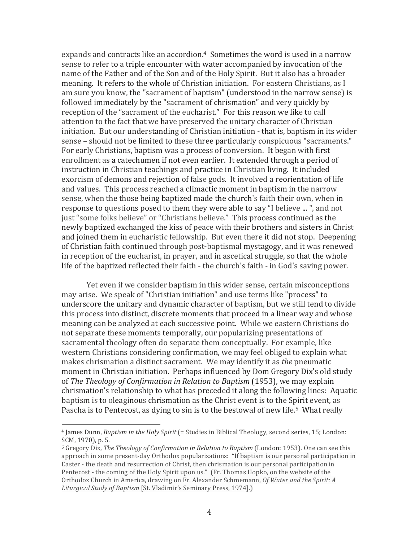expands and contracts like an accordion.<sup>4</sup> Sometimes the word is used in a narrow sense to refer to a triple encounter with water accompanied by invocation of the name of the Father and of the Son and of the Holy Spirit. But it also has a broader meaning. It refers to the whole of Christian initiation. For eastern Christians, as I am sure you know, the "sacrament of baptism" (understood in the narrow sense) is followed immediately by the "sacrament of chrismation" and very quickly by reception of the "sacrament of the eucharist." For this reason we like to call attention to the fact that we have preserved the unitary character of Christian initiation. But our understanding of Christian initiation - that is, baptism in its wider sense – should not be limited to these three particularly conspicuous "sacraments." For early Christians, baptism was a process of conversion. It began with first enrollment as a catechumen if not even earlier. It extended through a period of instruction in Christian teachings and practice in Christian living. It included exorcism of demons and rejection of false gods. It involved a reorientation of life and values. This process reached a climactic moment in baptism in the narrow sense, when the those being baptized made the church's faith their own, when in response to questions posed to them they were able to say "I believe ... ", and not just "some folks believe" or "Christians believe." This process continued as the newly baptized exchanged the kiss of peace with their brothers and sisters in Christ and joined them in eucharistic fellowship. But even there it did not stop. Deepening of Christian faith continued through post-baptismal mystagogy, and it was renewed in reception of the eucharist, in prayer, and in ascetical struggle, so that the whole life of the baptized reflected their faith - the church's faith - in God's saving power.

Yet even if we consider baptism in this wider sense, certain misconceptions may arise. We speak of "Christian initiation" and use terms like "process" to underscore the unitary and dynamic character of baptism, but we still tend to divide this process into distinct, discrete moments that proceed in a linear way and whose meaning can be analyzed at each successive point. While we eastern Christians do not separate these moments temporally, our popularizing presentations of sacramental theology often do separate them conceptually. For example, like western Christians considering confirmation, we may feel obliged to explain what makes chrismation a distinct sacrament. We may identify it as *the* pneumatic moment in Christian initiation. Perhaps influenced by Dom Gregory Dix's old study of *The Theology of Confirmation in Relation to Baptism* (1953), we may explain chrismation's relationship to what has preceded it along the following lines: Aquatic baptism is to oleaginous chrismation as the Christ event is to the Spirit event, as Pascha is to Pentecost, as dying to sin is to the bestowal of new life.<sup>5</sup> What really

<sup>&</sup>lt;sup>4</sup> James Dunn, *Baptism in the Holy Spirit* (= Studies in Biblical Theology, second series, 15; London: SCM, 1970), p. 5.

<sup>&</sup>lt;sup>5</sup> Gregory Dix, *The Theology of Confirmation in Relation to Baptism* (London: 1953). One can see this approach in some present-day Orthodox popularizations: "If baptism is our personal participation in Easter - the death and resurrection of Christ, then chrismation is our personal participation in Pentecost - the coming of the Holy Spirit upon us." (Fr. Thomas Hopko, on the website of the Orthodox Church in America, drawing on Fr. Alexander Schmemann, *Of Water and the Spirit: A* Liturgical Study of Baptism [St. Vladimir's Seminary Press, 1974].)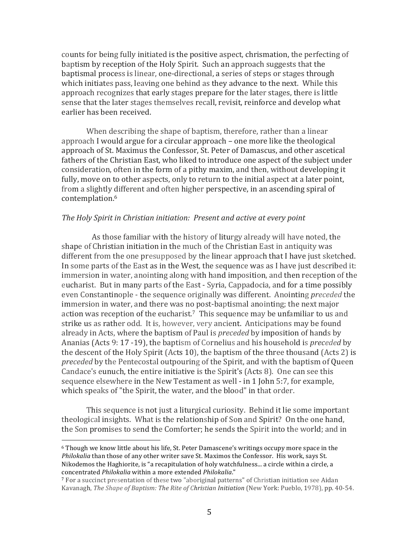counts for being fully initiated is the positive aspect, chrismation, the perfecting of baptism by reception of the Holy Spirit. Such an approach suggests that the baptismal process is linear, one-directional, a series of steps or stages through which initiates pass, leaving one behind as they advance to the next. While this approach recognizes that early stages prepare for the later stages, there is little sense that the later stages themselves recall, revisit, reinforce and develop what earlier has been received.

When describing the shape of baptism, therefore, rather than a linear approach I would argue for a circular approach – one more like the theological approach of St. Maximus the Confessor, St. Peter of Damascus, and other ascetical fathers of the Christian East, who liked to introduce one aspect of the subject under consideration, often in the form of a pithy maxim, and then, without developing it fully, move on to other aspects, only to return to the initial aspect at a later point, from a slightly different and often higher perspective, in an ascending spiral of contemplation.6

## The Holy Spirit in Christian initiation: Present and active at every point

As those familiar with the history of liturgy already will have noted, the shape of Christian initiation in the much of the Christian East in antiquity was different from the one presupposed by the linear approach that I have just sketched. In some parts of the East as in the West, the sequence was as I have just described it: immersion in water, anointing along with hand imposition, and then reception of the eucharist. But in many parts of the East - Syria, Cappadocia, and for a time possibly even Constantinople - the sequence originally was different. Anointing *preceded* the immersion in water, and there was no post-baptismal anointing; the next major action was reception of the eucharist.<sup>7</sup> This sequence may be unfamiliar to us and strike us as rather odd. It is, however, very ancient. Anticipations may be found already in Acts, where the baptism of Paul is *preceded* by imposition of hands by Ananias (Acts 9: 17 -19), the baptism of Cornelius and his household is *preceded* by the descent of the Holy Spirit  $(Acts 10)$ , the baptism of the three thousand  $(Acts 2)$  is *preceded* by the Pentecostal outpouring of the Spirit, and with the baptism of Queen Candace's eunuch, the entire initiative is the Spirit's (Acts 8). One can see this sequence elsewhere in the New Testament as well - in 1 John 5:7, for example, which speaks of "the Spirit, the water, and the blood" in that order.

This sequence is not just a liturgical curiosity. Behind it lie some important theological insights. What is the relationship of Son and Spirit? On the one hand, the Son promises to send the Comforter; he sends the Spirit into the world; and in

 $6$  Though we know little about his life, St. Peter Damascene's writings occupy more space in the *Philokalia* than those of any other writer save St. Maximos the Confessor. His work, says St. Nikodemos the Haghiorite, is "a recapitulation of holy watchfulness... a circle within a circle, a concentrated *Philokalia* within a more extended *Philokalia*."

 $<sup>7</sup>$  For a succinct presentation of these two "aboriginal patterns" of Christian initiation see Aidan</sup> Kavanagh, The Shape of Baptism: The Rite of Christian Initiation (New York: Pueblo, 1978), pp. 40-54.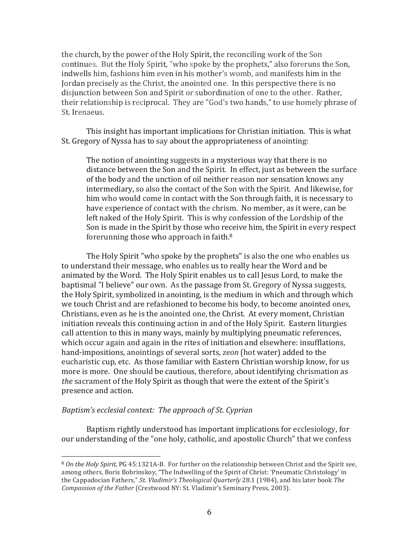the church, by the power of the Holy Spirit, the reconciling work of the Son continues. But the Holy Spirit, "who spoke by the prophets," also foreruns the Son, indwells him, fashions him even in his mother's womb, and manifests him in the Jordan precisely as the Christ, the anointed one. In this perspective there is no disjunction between Son and Spirit or subordination of one to the other. Rather, their relationship is reciprocal. They are "God's two hands," to use homely phrase of St. Irenaeus.

This insight has important implications for Christian initiation. This is what St. Gregory of Nyssa has to say about the appropriateness of anointing:

The notion of anointing suggests in a mysterious way that there is no distance between the Son and the Spirit. In effect, just as between the surface of the body and the unction of oil neither reason nor sensation knows any intermediary, so also the contact of the Son with the Spirit. And likewise, for him who would come in contact with the Son through faith, it is necessary to have experience of contact with the chrism. No member, as it were, can be left naked of the Holy Spirit. This is why confession of the Lordship of the Son is made in the Spirit by those who receive him, the Spirit in every respect forerunning those who approach in faith. $8$ 

The Holy Spirit "who spoke by the prophets" is also the one who enables us to understand their message, who enables us to really hear the Word and be animated by the Word. The Holy Spirit enables us to call Jesus Lord, to make the baptismal "I believe" our own. As the passage from St. Gregory of Nyssa suggests, the Holy Spirit, symbolized in anointing, is the medium in which and through which we touch Christ and are refashioned to become his body, to become anointed ones, Christians, even as he is the anointed one, the Christ. At every moment, Christian initiation reveals this continuing action in and of the Holy Spirit. Eastern liturgies call attention to this in many ways, mainly by multiplying pneumatic references, which occur again and again in the rites of initiation and elsewhere: insufflations, hand-impositions, anointings of several sorts, *zeon* (hot water) added to the eucharistic cup, etc. As those familiar with Eastern Christian worship know, for us more is more. One should be cautious, therefore, about identifying chrismation as *the* sacrament of the Holy Spirit as though that were the extent of the Spirit's presence and action.

# *Baptism's ecclesial context: The approach of St. Cyprian*

 

Baptism rightly understood has important implications for ecclesiology, for our understanding of the "one holy, catholic, and apostolic Church" that we confess

<sup>&</sup>lt;sup>8</sup> On the Holy Spirit, PG 45:1321A-B. For further on the relationship between Christ and the Spirit see, among others, Boris Bobrinskoy, "The Indwelling of the Spirit of Christ: 'Pneumatic Christology' in the Cappadocian Fathers," *St. Vladimir's Theological Quarterly* 28.1 (1984), and his later book The *Compassion of the Father* (Crestwood NY: St. Vladimir's Seminary Press, 2003).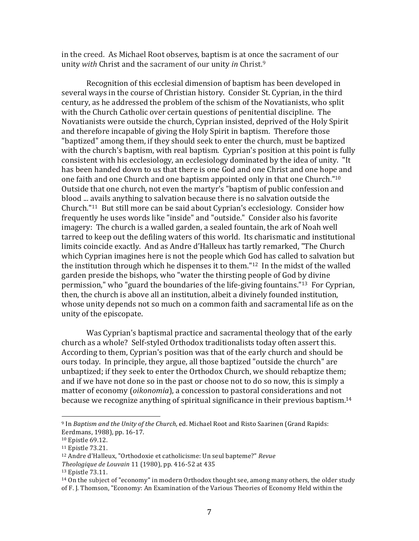in the creed. As Michael Root observes, baptism is at once the sacrament of our unity *with* Christ and the sacrament of our unity *in* Christ.<sup>9</sup>

Recognition of this ecclesial dimension of baptism has been developed in several ways in the course of Christian history. Consider St. Cyprian, in the third century, as he addressed the problem of the schism of the Novatianists, who split with the Church Catholic over certain questions of penitential discipline. The Novatianists were outside the church, Cyprian insisted, deprived of the Holy Spirit and therefore incapable of giving the Holy Spirit in baptism. Therefore those "baptized" among them, if they should seek to enter the church, must be baptized with the church's baptism, with real baptism. Cyprian's position at this point is fully consistent with his ecclesiology, an ecclesiology dominated by the idea of unity. "It has been handed down to us that there is one God and one Christ and one hope and one faith and one Church and one baptism appointed only in that one Church." $10$ Outside that one church, not even the martyr's "baptism of public confession and blood ... avails anything to salvation because there is no salvation outside the Church."<sup>11</sup> But still more can be said about Cyprian's ecclesiology. Consider how frequently he uses words like "inside" and "outside." Consider also his favorite imagery: The church is a walled garden, a sealed fountain, the ark of Noah well tarred to keep out the defiling waters of this world. Its charismatic and institutional limits coincide exactly. And as Andre d'Halleux has tartly remarked, "The Church which Cyprian imagines here is not the people which God has called to salvation but the institution through which he dispenses it to them."<sup>12</sup> In the midst of the walled garden preside the bishops, who "water the thirsting people of God by divine permission," who "guard the boundaries of the life-giving fountains."<sup>13</sup> For Cyprian, then, the church is above all an institution, albeit a divinely founded institution, whose unity depends not so much on a common faith and sacramental life as on the unity of the episcopate.

Was Cyprian's baptismal practice and sacramental theology that of the early church as a whole? Self-styled Orthodox traditionalists today often assert this. According to them, Cyprian's position was that of the early church and should be ours today. In principle, they argue, all those baptized "outside the church" are unbaptized; if they seek to enter the Orthodox Church, we should rebaptize them; and if we have not done so in the past or choose not to do so now, this is simply a matter of economy (*oikonomia*), a concession to pastoral considerations and not because we recognize anything of spiritual significance in their previous baptism.<sup>14</sup>

<sup>&</sup>lt;sup>9</sup> In *Baptism and the Unity of the Church*, ed. Michael Root and Risto Saarinen (Grand Rapids: Eerdmans, 1988), pp. 16-17.

<sup>&</sup>lt;sup>10</sup> Epistle 69.12.

<sup>&</sup>lt;sup>11</sup> Epistle 73.21.

<sup>&</sup>lt;sup>12</sup> Andre d'Halleux, "Orthodoxie et catholicisme: Un seul bapteme?" *Revue* 

*Theologique de Louvain* 11 (1980), pp. 416-52 at 435

<sup>&</sup>lt;sup>13</sup> Epistle 73.11.

 $14$  On the subject of "economy" in modern Orthodox thought see, among many others, the older study of F. J. Thomson, "Economy: An Examination of the Various Theories of Economy Held within the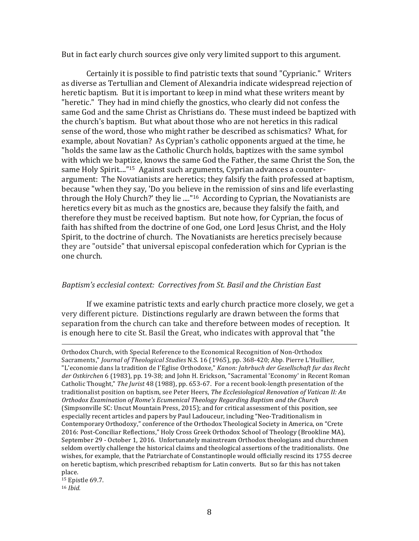But in fact early church sources give only very limited support to this argument.

Certainly it is possible to find patristic texts that sound "Cyprianic." Writers as diverse as Tertullian and Clement of Alexandria indicate widespread rejection of heretic baptism. But it is important to keep in mind what these writers meant by "heretic." They had in mind chiefly the gnostics, who clearly did not confess the same God and the same Christ as Christians do. These must indeed be baptized with the church's baptism. But what about those who are not heretics in this radical sense of the word, those who might rather be described as schismatics? What, for example, about Novatian? As Cyprian's catholic opponents argued at the time, he "holds the same law as the Catholic Church holds, baptizes with the same symbol with which we baptize, knows the same God the Father, the same Christ the Son, the same Holy Spirit...."<sup>15</sup> Against such arguments, Cyprian advances a counterargument: The Novatianists are heretics; they falsify the faith professed at baptism, because "when they say, 'Do you believe in the remission of sins and life everlasting through the Holy Church?' they lie ...."<sup>16</sup> According to Cyprian, the Novatianists are heretics every bit as much as the gnostics are, because they falsify the faith, and therefore they must be received baptism. But note how, for Cyprian, the focus of faith has shifted from the doctrine of one God, one Lord Jesus Christ, and the Holy Spirit, to the doctrine of church. The Novatianists are heretics precisely because they are "outside" that universal episcopal confederation which for Cyprian is the one church.

### *Baptism's ecclesial context: Correctives from St. Basil and the Christian East*

If we examine patristic texts and early church practice more closely, we get a very different picture. Distinctions regularly are drawn between the forms that separation from the church can take and therefore between modes of reception. It is enough here to cite St. Basil the Great, who indicates with approval that "the

<u> 2002 - Andrea San Andrea San Andrea San Andrea San Andrea San Andrea San Andrea San Andrea San Andrea San An</u>

<sup>15</sup> Epistle 69.7. <sup>16</sup> *Ibid.*

Orthodox Church, with Special Reference to the Economical Recognition of Non-Orthodox Sacraments," *Journal of Theological Studies* N.S. 16 (1965), pp. 368-420; Abp. Pierre L'Huillier, "L'economie dans la tradition de l'Eglise Orthodoxe," *Kanon: Jahrbuch der Gesellschaft fur das Recht* der Ostkirchen 6 (1983), pp. 19-38; and John H. Erickson, "Sacramental 'Economy' in Recent Roman Catholic Thought," *The Jurist* 48 (1988), pp. 653-67. For a recent book-length presentation of the traditionalist position on baptism, see Peter Heers, *The Ecclesiological Renovation of Vatican II: An Orthodox Examination of Rome's Ecumenical Theology Regarding Baptism and the Church* (Simpsonville SC: Uncut Mountain Press, 2015); and for critical assessment of this position, see especially recent articles and papers by Paul Ladouceur, including "Neo-Traditionalism in Contemporary Orthodoxy," conference of the Orthodox Theological Society in America, on "Crete 2016: Post-Conciliar Reflections," Holy Cross Greek Orthodox School of Theology (Brookline MA), September 29 - October 1, 2016. Unfortunately mainstream Orthodox theologians and churchmen seldom overtly challenge the historical claims and theological assertions of the traditionalists. One wishes, for example, that the Patriarchate of Constantinople would officially rescind its 1755 decree on heretic baptism, which prescribed rebaptism for Latin converts. But so far this has not taken place.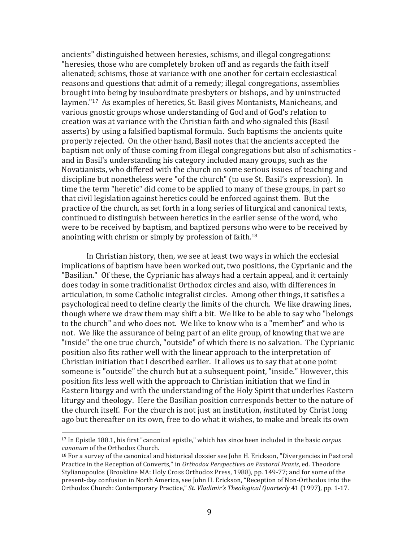ancients" distinguished between heresies, schisms, and illegal congregations: "heresies, those who are completely broken off and as regards the faith itself alienated; schisms, those at variance with one another for certain ecclesiastical reasons and questions that admit of a remedy; illegal congregations, assemblies brought into being by insubordinate presbyters or bishops, and by uninstructed laymen."<sup>17</sup> As examples of heretics, St. Basil gives Montanists, Manicheans, and various gnostic groups whose understanding of God and of God's relation to creation was at variance with the Christian faith and who signaled this (Basil asserts) by using a falsified baptismal formula. Such baptisms the ancients quite properly rejected. On the other hand, Basil notes that the ancients accepted the baptism not only of those coming from illegal congregations but also of schismatics and in Basil's understanding his category included many groups, such as the Novatianists, who differed with the church on some serious issues of teaching and discipline but nonetheless were "of the church" (to use St. Basil's expression). In time the term "heretic" did come to be applied to many of these groups, in part so that civil legislation against heretics could be enforced against them. But the practice of the church, as set forth in a long series of liturgical and canonical texts, continued to distinguish between heretics in the earlier sense of the word, who were to be received by baptism, and baptized persons who were to be received by anointing with chrism or simply by profession of faith.<sup>18</sup>

In Christian history, then, we see at least two ways in which the ecclesial implications of baptism have been worked out, two positions, the Cyprianic and the "Basilian." Of these, the Cyprianic has always had a certain appeal, and it certainly does today in some traditionalist Orthodox circles and also, with differences in articulation, in some Catholic integralist circles. Among other things, it satisfies a psychological need to define clearly the limits of the church. We like drawing lines, though where we draw them may shift a bit. We like to be able to say who "belongs" to the church" and who does not. We like to know who is a "member" and who is not. We like the assurance of being part of an elite group, of knowing that we are "inside" the one true church, "outside" of which there is no salvation. The Cyprianic position also fits rather well with the linear approach to the interpretation of Christian initiation that I described earlier. It allows us to say that at one point someone is "outside" the church but at a subsequent point, "inside." However, this position fits less well with the approach to Christian initiation that we find in Eastern liturgy and with the understanding of the Holy Spirit that underlies Eastern liturgy and theology. Here the Basilian position corresponds better to the nature of the church itself. For the church is not just an institution, *instituted* by Christ long ago but thereafter on its own, free to do what it wishes, to make and break its own

<sup>&</sup>lt;sup>17</sup> In Epistle 188.1, his first "canonical epistle," which has since been included in the basic *corpus canonum* of the Orthodox Church.

 $18$  For a survey of the canonical and historical dossier see John H. Erickson, "Divergencies in Pastoral Practice in the Reception of Converts," in *Orthodox Perspectives on Pastoral Praxis*, ed. Theodore Stylianopoulos (Brookline MA: Holy Cross Orthodox Press, 1988), pp. 149-77; and for some of the present-day confusion in North America, see John H. Erickson, "Reception of Non-Orthodox into the Orthodox Church: Contemporary Practice," *St. Vladimir's Theological Quarterly* 41 (1997), pp. 1-17.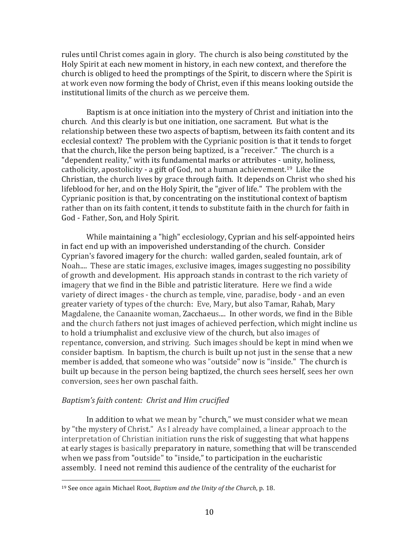rules until Christ comes again in glory. The church is also being *constituted* by the Holy Spirit at each new moment in history, in each new context, and therefore the church is obliged to heed the promptings of the Spirit, to discern where the Spirit is at work even now forming the body of Christ, even if this means looking outside the institutional limits of the church as we perceive them.

Baptism is at once initiation into the mystery of Christ and initiation into the church. And this clearly is but one initiation, one sacrament. But what is the relationship between these two aspects of baptism, between its faith content and its ecclesial context? The problem with the Cyprianic position is that it tends to forget that the church, like the person being baptized, is a "receiver." The church is a "dependent reality," with its fundamental marks or attributes - unity, holiness, catholicity, apostolicity - a gift of God, not a human achievement.<sup>19</sup> Like the Christian, the church lives by grace through faith. It depends on Christ who shed his lifeblood for her, and on the Holy Spirit, the "giver of life." The problem with the Cyprianic position is that, by concentrating on the institutional context of baptism rather than on its faith content, it tends to substitute faith in the church for faith in God - Father, Son, and Holy Spirit.

While maintaining a "high" ecclesiology, Cyprian and his self-appointed heirs in fact end up with an impoverished understanding of the church. Consider Cyprian's favored imagery for the church: walled garden, sealed fountain, ark of Noah.... These are static images, exclusive images, images suggesting no possibility of growth and development. His approach stands in contrast to the rich variety of imagery that we find in the Bible and patristic literature. Here we find a wide variety of direct images - the church as temple, vine, paradise, body - and an even greater variety of types of the church: Eve, Mary, but also Tamar, Rahab, Mary Magdalene, the Canaanite woman, Zacchaeus.... In other words, we find in the Bible and the church fathers not just images of achieved perfection, which might incline us to hold a triumphalist and exclusive view of the church, but also images of repentance, conversion, and striving. Such images should be kept in mind when we consider baptism. In baptism, the church is built up not just in the sense that a new member is added, that someone who was "outside" now is "inside." The church is built up because in the person being baptized, the church sees herself, sees her own conversion, sees her own paschal faith.

# *Baptism's faith content: Christ and Him crucified*

 

In addition to what we mean by "church," we must consider what we mean by "the mystery of Christ." As I already have complained, a linear approach to the interpretation of Christian initiation runs the risk of suggesting that what happens at early stages is basically preparatory in nature, something that will be transcended when we pass from "outside" to "inside," to participation in the eucharistic assembly. I need not remind this audience of the centrality of the eucharist for

<sup>&</sup>lt;sup>19</sup> See once again Michael Root, *Baptism and the Unity of the Church*, p. 18.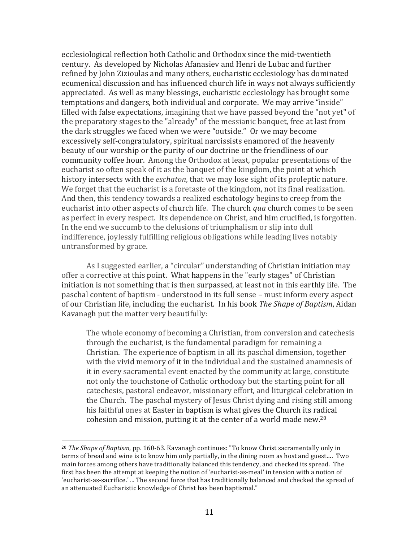ecclesiological reflection both Catholic and Orthodox since the mid-twentieth century. As developed by Nicholas Afanasiev and Henri de Lubac and further refined by John Zizioulas and many others, eucharistic ecclesiology has dominated ecumenical discussion and has influenced church life in ways not always sufficiently appreciated. As well as many blessings, eucharistic ecclesiology has brought some temptations and dangers, both individual and corporate. We may arrive "inside" filled with false expectations, imagining that we have passed beyond the "not yet" of the preparatory stages to the "already" of the messianic banquet, free at last from the dark struggles we faced when we were "outside." Or we may become excessively self-congratulatory, spiritual narcissists enamored of the heavenly beauty of our worship or the purity of our doctrine or the friendliness of our community coffee hour. Among the Orthodox at least, popular presentations of the eucharist so often speak of it as the banquet of the kingdom, the point at which history intersects with the *eschaton*, that we may lose sight of its proleptic nature. We forget that the eucharist is a foretaste of the kingdom, not its final realization. And then, this tendency towards a realized eschatology begins to creep from the eucharist into other aspects of church life. The church *qua* church comes to be seen as perfect in every respect. Its dependence on Christ, and him crucified, is forgotten. In the end we succumb to the delusions of triumphalism or slip into dull indifference, joylessly fulfilling religious obligations while leading lives notably untransformed by grace.

As I suggested earlier, a "circular" understanding of Christian initiation may offer a corrective at this point. What happens in the "early stages" of Christian initiation is not something that is then surpassed, at least not in this earthly life. The paschal content of baptism - understood in its full sense – must inform every aspect of our Christian life, including the eucharist. In his book The Shape of Baptism, Aidan Kavanagh put the matter very beautifully:

The whole economy of becoming a Christian, from conversion and catechesis through the eucharist, is the fundamental paradigm for remaining a Christian. The experience of baptism in all its paschal dimension, together with the vivid memory of it in the individual and the sustained anamnesis of it in every sacramental event enacted by the community at large, constitute not only the touchstone of Catholic orthodoxy but the starting point for all catechesis, pastoral endeavor, missionary effort, and liturgical celebration in the Church. The paschal mystery of Jesus Christ dying and rising still among his faithful ones at Easter in baptism is what gives the Church its radical cohesion and mission, putting it at the center of a world made new.<sup>20</sup>

<sup>&</sup>lt;sup>20</sup> *The Shape of Baptism*, pp. 160-63. Kavanagh continues: "To know Christ sacramentally only in terms of bread and wine is to know him only partially, in the dining room as host and guest.... Two main forces among others have traditionally balanced this tendency, and checked its spread. The first has been the attempt at keeping the notion of 'eucharist-as-meal' in tension with a notion of 'eucharist-as-sacrifice.' ... The second force that has traditionally balanced and checked the spread of an attenuated Eucharistic knowledge of Christ has been baptismal."